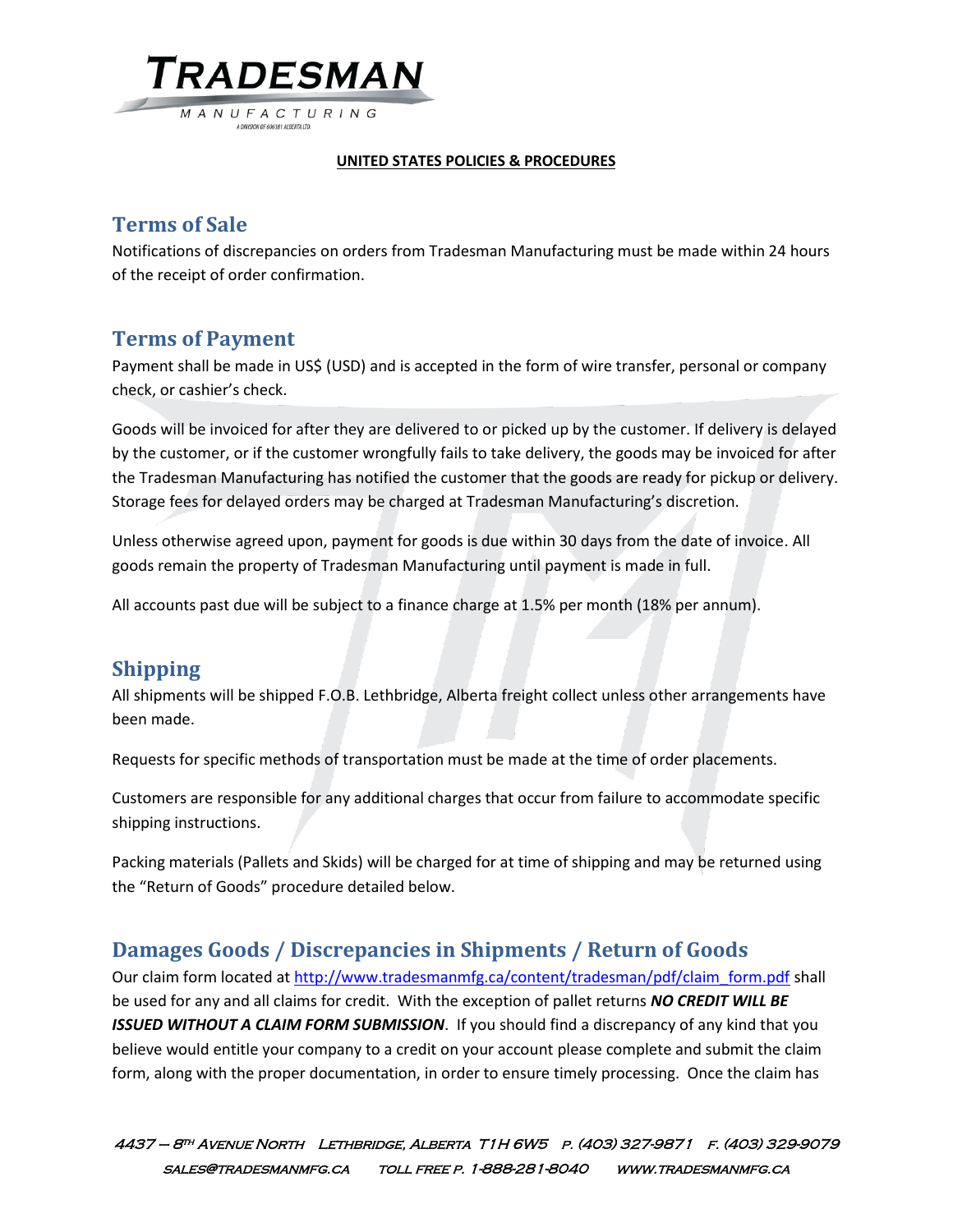TRADESMAN M A N U F A C T U R I N G

A DIVISION OF 606381 ALBERTA LTD

#### **UNITED STATES POLICIES & PROCEDURES**

## **Terms of Sale**

Notifications of discrepancies on orders from Tradesman Manufacturing must be made within 24 hours of the receipt of order confirmation.

#### **Terms of Payment**

Payment shall be made in US\$ (USD) and is accepted in the form of wire transfer, personal or company check, or cashier's check.

Goods will be invoiced for after they are delivered to or picked up by the customer. If delivery is delayed by the customer, or if the customer wrongfully fails to take delivery, the goods may be invoiced for after the Tradesman Manufacturing has notified the customer that the goods are ready for pickup or delivery. Storage fees for delayed orders may be charged at Tradesman Manufacturing's discretion.

Unless otherwise agreed upon, payment for goods is due within 30 days from the date of invoice. All goods remain the property of Tradesman Manufacturing until payment is made in full.

All accounts past due will be subject to a finance charge at 1.5% per month (18% per annum).

## **Shipping**

All shipments will be shipped F.O.B. Lethbridge, Alberta freight collect unless other arrangements have been made.

Requests for specific methods of transportation must be made at the time of order placements.

Customers are responsible for any additional charges that occur from failure to accommodate specific shipping instructions.

Packing materials (Pallets and Skids) will be charged for at time of shipping and may be returned using the "Return of Goods" procedure detailed below.

#### **Damages Goods / Discrepancies in Shipments / Return of Goods**

Our claim form located at [http://www.tradesmanmfg.ca/content/tradesman/pdf/claim\\_form.pdf](http://www.tradesmanmfg.ca/content/tradesman/pdf/claim_form.pdf) shall be used for any and all claims for credit. With the exception of pallet returns *NO CREDIT WILL BE ISSUED WITHOUT A CLAIM FORM SUBMISSION*. If you should find a discrepancy of any kind that you believe would entitle your company to a credit on your account please complete and submit the claim form, along with the proper documentation, in order to ensure timely processing. Once the claim has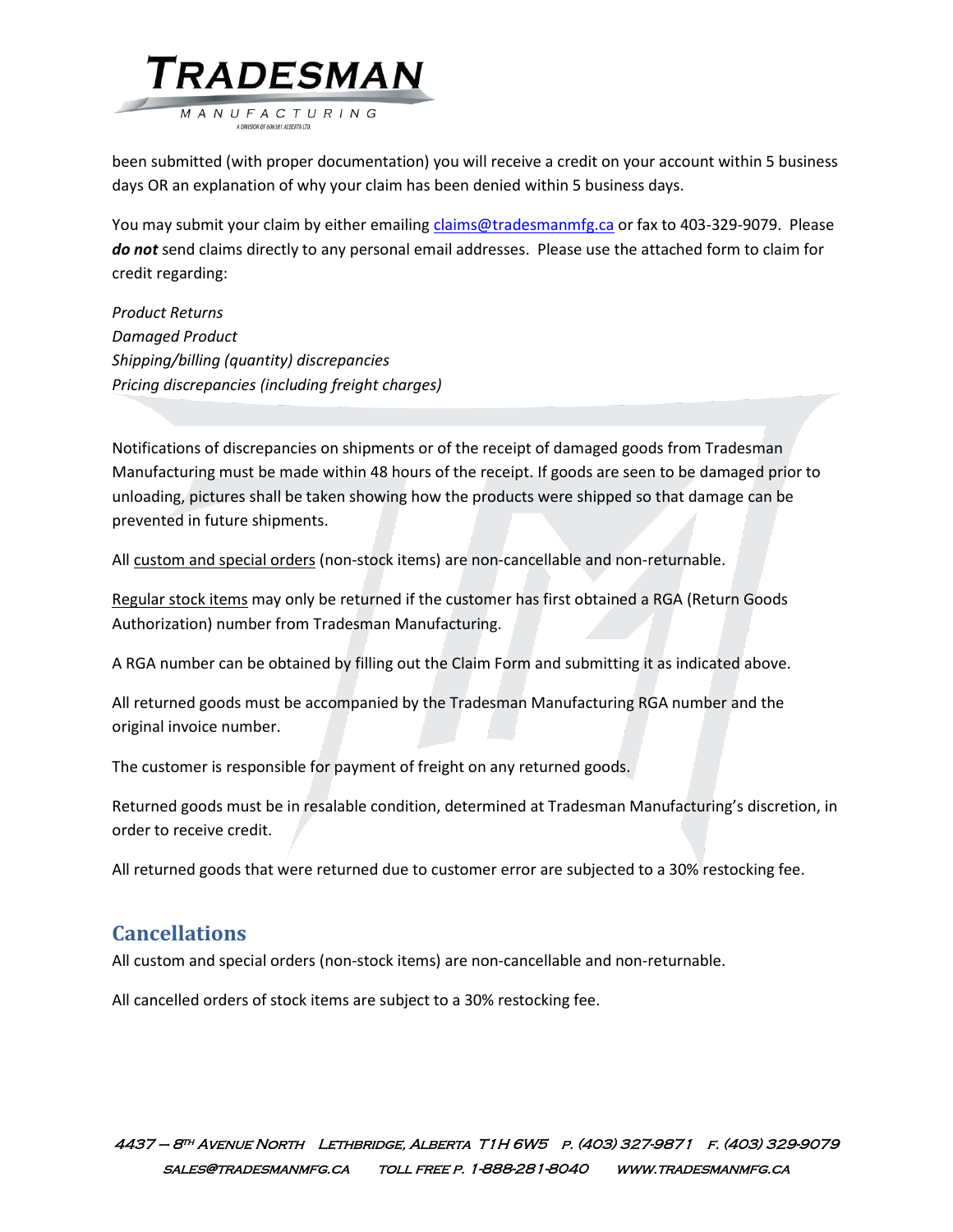

been submitted (with proper documentation) you will receive a credit on your account within 5 business days OR an explanation of why your claim has been denied within 5 business days.

You may submit your claim by either emailin[g claims@tradesmanmfg.ca](mailto:claims@tradesmanmfg.ca) or fax to 403-329-9079. Please *do not* send claims directly to any personal email addresses. Please use the attached form to claim for credit regarding:

*Product Returns Damaged Product Shipping/billing (quantity) discrepancies Pricing discrepancies (including freight charges)*

Notifications of discrepancies on shipments or of the receipt of damaged goods from Tradesman Manufacturing must be made within 48 hours of the receipt. If goods are seen to be damaged prior to unloading, pictures shall be taken showing how the products were shipped so that damage can be prevented in future shipments.

All custom and special orders (non-stock items) are non-cancellable and non-returnable.

Regular stock items may only be returned if the customer has first obtained a RGA (Return Goods Authorization) number from Tradesman Manufacturing.

A RGA number can be obtained by filling out the Claim Form and submitting it as indicated above.

All returned goods must be accompanied by the Tradesman Manufacturing RGA number and the original invoice number.

The customer is responsible for payment of freight on any returned goods.

Returned goods must be in resalable condition, determined at Tradesman Manufacturing's discretion, in order to receive credit.

All returned goods that were returned due to customer error are subjected to a 30% restocking fee.

### **Cancellations**

All custom and special orders (non-stock items) are non-cancellable and non-returnable.

All cancelled orders of stock items are subject to a 30% restocking fee.